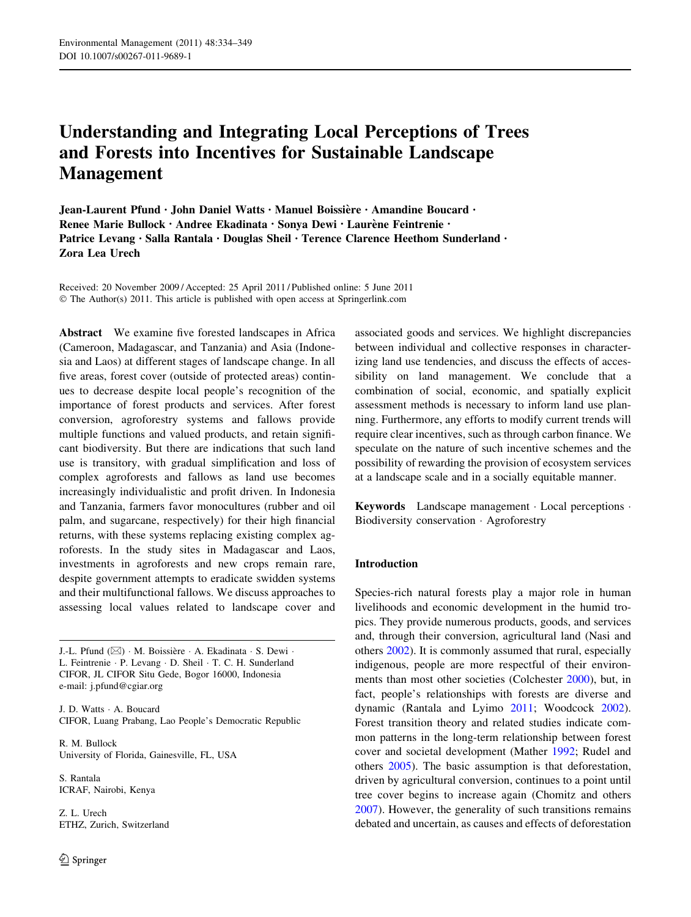# Understanding and Integrating Local Perceptions of Trees and Forests into Incentives for Sustainable Landscape Management

Jean-Laurent Pfund · John Daniel Watts · Manuel Boissière · Amandine Boucard · Renee Marie Bullock • Andree Ekadinata • Sonya Dewi • Laurène Feintrenie • Patrice Levang · Salla Rantala · Douglas Sheil · Terence Clarence Heethom Sunderland · Zora Lea Urech

Received: 20 November 2009 / Accepted: 25 April 2011 / Published online: 5 June 2011 © The Author(s) 2011. This article is published with open access at Springerlink.com

Abstract We examine five forested landscapes in Africa (Cameroon, Madagascar, and Tanzania) and Asia (Indonesia and Laos) at different stages of landscape change. In all five areas, forest cover (outside of protected areas) continues to decrease despite local people's recognition of the importance of forest products and services. After forest conversion, agroforestry systems and fallows provide multiple functions and valued products, and retain significant biodiversity. But there are indications that such land use is transitory, with gradual simplification and loss of complex agroforests and fallows as land use becomes increasingly individualistic and profit driven. In Indonesia and Tanzania, farmers favor monocultures (rubber and oil palm, and sugarcane, respectively) for their high financial returns, with these systems replacing existing complex agroforests. In the study sites in Madagascar and Laos, investments in agroforests and new crops remain rare, despite government attempts to eradicate swidden systems and their multifunctional fallows. We discuss approaches to assessing local values related to landscape cover and

J.-L. Pfund (⊠) · M. Boissière · A. Ekadinata · S. Dewi · L. Feintrenie - P. Levang - D. Sheil - T. C. H. Sunderland CIFOR, JL CIFOR Situ Gede, Bogor 16000, Indonesia e-mail: j.pfund@cgiar.org

J. D. Watts - A. Boucard CIFOR, Luang Prabang, Lao People's Democratic Republic

R. M. Bullock University of Florida, Gainesville, FL, USA

S. Rantala ICRAF, Nairobi, Kenya

Z. L. Urech ETHZ, Zurich, Switzerland

associated goods and services. We highlight discrepancies between individual and collective responses in characterizing land use tendencies, and discuss the effects of accessibility on land management. We conclude that a combination of social, economic, and spatially explicit assessment methods is necessary to inform land use planning. Furthermore, any efforts to modify current trends will require clear incentives, such as through carbon finance. We speculate on the nature of such incentive schemes and the possibility of rewarding the provision of ecosystem services at a landscape scale and in a socially equitable manner.

Keywords Landscape management - Local perceptions - Biodiversity conservation - Agroforestry

# Introduction

Species-rich natural forests play a major role in human livelihoods and economic development in the humid tropics. They provide numerous products, goods, and services and, through their conversion, agricultural land (Nasi and others [2002](#page-14-0)). It is commonly assumed that rural, especially indigenous, people are more respectful of their environments than most other societies (Colchester [2000\)](#page-13-0), but, in fact, people's relationships with forests are diverse and dynamic (Rantala and Lyimo [2011](#page-14-0); Woodcock [2002](#page-15-0)). Forest transition theory and related studies indicate common patterns in the long-term relationship between forest cover and societal development (Mather [1992;](#page-14-0) Rudel and others [2005\)](#page-14-0). The basic assumption is that deforestation, driven by agricultural conversion, continues to a point until tree cover begins to increase again (Chomitz and others [2007](#page-13-0)). However, the generality of such transitions remains debated and uncertain, as causes and effects of deforestation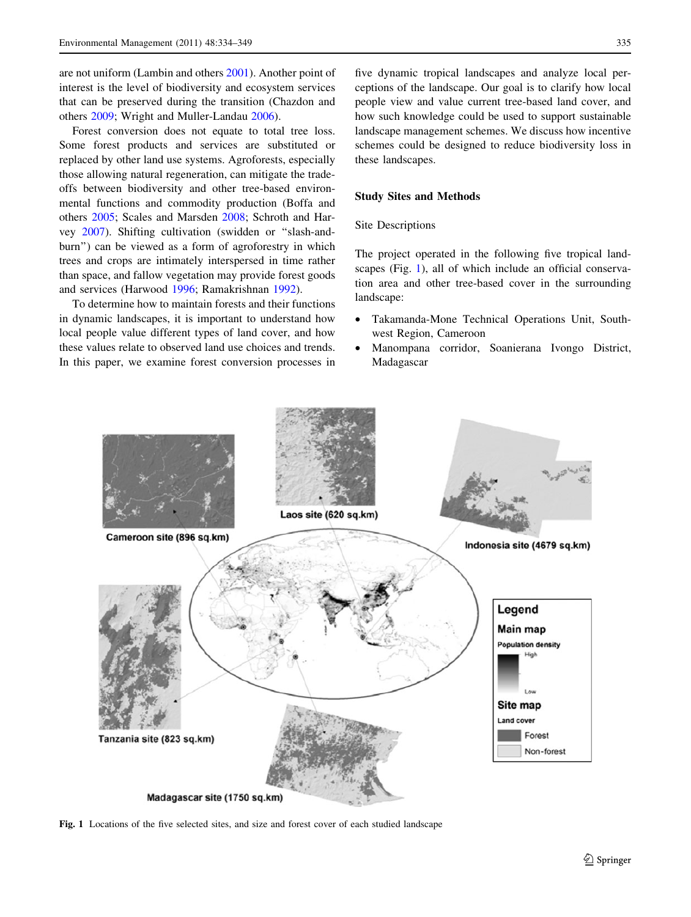are not uniform (Lambin and others [2001\)](#page-14-0). Another point of interest is the level of biodiversity and ecosystem services that can be preserved during the transition (Chazdon and others [2009](#page-13-0); Wright and Muller-Landau [2006\)](#page-15-0).

Forest conversion does not equate to total tree loss. Some forest products and services are substituted or replaced by other land use systems. Agroforests, especially those allowing natural regeneration, can mitigate the tradeoffs between biodiversity and other tree-based environmental functions and commodity production (Boffa and others [2005](#page-13-0); Scales and Marsden [2008](#page-14-0); Schroth and Harvey [2007\)](#page-14-0). Shifting cultivation (swidden or ''slash-andburn'') can be viewed as a form of agroforestry in which trees and crops are intimately interspersed in time rather than space, and fallow vegetation may provide forest goods and services (Harwood [1996](#page-14-0); Ramakrishnan [1992](#page-14-0)).

To determine how to maintain forests and their functions in dynamic landscapes, it is important to understand how local people value different types of land cover, and how these values relate to observed land use choices and trends. In this paper, we examine forest conversion processes in five dynamic tropical landscapes and analyze local perceptions of the landscape. Our goal is to clarify how local people view and value current tree-based land cover, and how such knowledge could be used to support sustainable landscape management schemes. We discuss how incentive schemes could be designed to reduce biodiversity loss in these landscapes.

#### Study Sites and Methods

## Site Descriptions

The project operated in the following five tropical landscapes (Fig. 1), all of which include an official conservation area and other tree-based cover in the surrounding landscape:

- Takamanda-Mone Technical Operations Unit, Southwest Region, Cameroon
- Manompana corridor, Soanierana Ivongo District, Madagascar



Fig. 1 Locations of the five selected sites, and size and forest cover of each studied landscape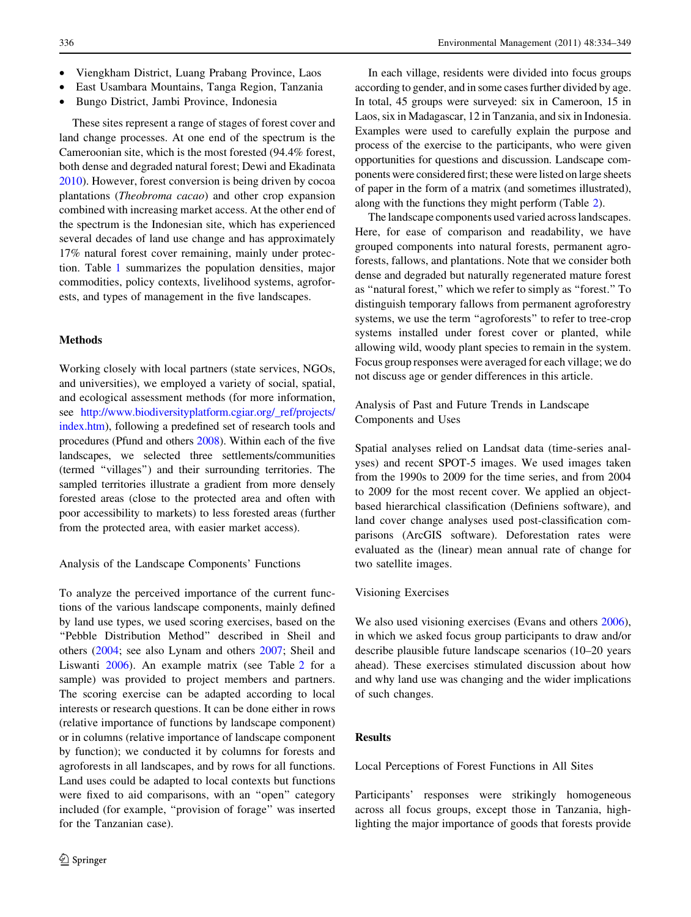- Viengkham District, Luang Prabang Province, Laos
- East Usambara Mountains, Tanga Region, Tanzania
- Bungo District, Jambi Province, Indonesia

These sites represent a range of stages of forest cover and land change processes. At one end of the spectrum is the Cameroonian site, which is the most forested (94.4% forest, both dense and degraded natural forest; Dewi and Ekadinata [2010\)](#page-13-0). However, forest conversion is being driven by cocoa plantations (Theobroma cacao) and other crop expansion combined with increasing market access. At the other end of the spectrum is the Indonesian site, which has experienced several decades of land use change and has approximately 17% natural forest cover remaining, mainly under protection. Table [1](#page-3-0) summarizes the population densities, major commodities, policy contexts, livelihood systems, agroforests, and types of management in the five landscapes.

## Methods

Working closely with local partners (state services, NGOs, and universities), we employed a variety of social, spatial, and ecological assessment methods (for more information, see [http://www.biodiversityplatform.cgiar.org/\\_ref/projects/](http://www.biodiversityplatform.cgiar.org/_ref/projects/index.htm) [index.htm](http://www.biodiversityplatform.cgiar.org/_ref/projects/index.htm)), following a predefined set of research tools and procedures (Pfund and others [2008](#page-14-0)). Within each of the five landscapes, we selected three settlements/communities (termed ''villages'') and their surrounding territories. The sampled territories illustrate a gradient from more densely forested areas (close to the protected area and often with poor accessibility to markets) to less forested areas (further from the protected area, with easier market access).

Analysis of the Landscape Components' Functions

To analyze the perceived importance of the current functions of the various landscape components, mainly defined by land use types, we used scoring exercises, based on the ''Pebble Distribution Method'' described in Sheil and others ([2004;](#page-14-0) see also Lynam and others [2007;](#page-14-0) Sheil and Liswanti [2006](#page-14-0)). An example matrix (see Table [2](#page-4-0) for a sample) was provided to project members and partners. The scoring exercise can be adapted according to local interests or research questions. It can be done either in rows (relative importance of functions by landscape component) or in columns (relative importance of landscape component by function); we conducted it by columns for forests and agroforests in all landscapes, and by rows for all functions. Land uses could be adapted to local contexts but functions were fixed to aid comparisons, with an ''open'' category included (for example, ''provision of forage'' was inserted for the Tanzanian case).

In each village, residents were divided into focus groups according to gender, and in some cases further divided by age. In total, 45 groups were surveyed: six in Cameroon, 15 in Laos, six in Madagascar, 12 in Tanzania, and six in Indonesia. Examples were used to carefully explain the purpose and process of the exercise to the participants, who were given opportunities for questions and discussion. Landscape components were considered first; these were listed on large sheets of paper in the form of a matrix (and sometimes illustrated), along with the functions they might perform (Table [2](#page-4-0)).

The landscape components used varied across landscapes. Here, for ease of comparison and readability, we have grouped components into natural forests, permanent agroforests, fallows, and plantations. Note that we consider both dense and degraded but naturally regenerated mature forest as ''natural forest,'' which we refer to simply as ''forest.'' To distinguish temporary fallows from permanent agroforestry systems, we use the term ''agroforests'' to refer to tree-crop systems installed under forest cover or planted, while allowing wild, woody plant species to remain in the system. Focus group responses were averaged for each village; we do not discuss age or gender differences in this article.

Analysis of Past and Future Trends in Landscape Components and Uses

Spatial analyses relied on Landsat data (time-series analyses) and recent SPOT-5 images. We used images taken from the 1990s to 2009 for the time series, and from 2004 to 2009 for the most recent cover. We applied an objectbased hierarchical classification (Definiens software), and land cover change analyses used post-classification comparisons (ArcGIS software). Deforestation rates were evaluated as the (linear) mean annual rate of change for two satellite images.

## Visioning Exercises

We also used visioning exercises (Evans and others [2006](#page-13-0)), in which we asked focus group participants to draw and/or describe plausible future landscape scenarios (10–20 years ahead). These exercises stimulated discussion about how and why land use was changing and the wider implications of such changes.

# Results

Local Perceptions of Forest Functions in All Sites

Participants' responses were strikingly homogeneous across all focus groups, except those in Tanzania, highlighting the major importance of goods that forests provide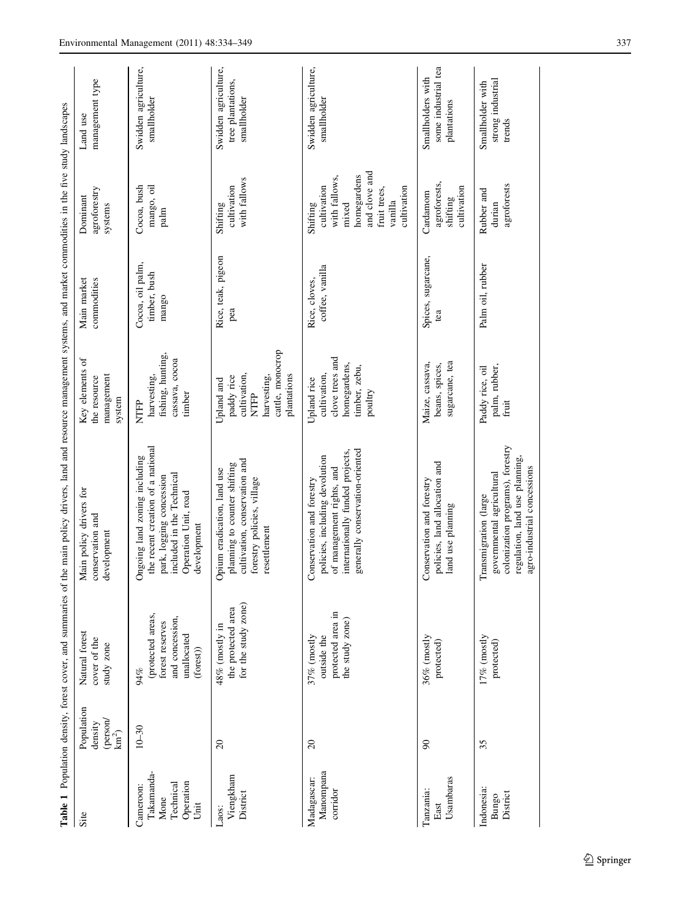<span id="page-3-0"></span>

|                                                                                 |                                                      | Table 1 Population density, forest cover, and summaries of                               | the main policy drivers, land and resource management systems, and market commodities in the five study landscapes                                                 |                                                                                                    |                                           |                                                                                                                             |                                                          |
|---------------------------------------------------------------------------------|------------------------------------------------------|------------------------------------------------------------------------------------------|--------------------------------------------------------------------------------------------------------------------------------------------------------------------|----------------------------------------------------------------------------------------------------|-------------------------------------------|-----------------------------------------------------------------------------------------------------------------------------|----------------------------------------------------------|
| Site                                                                            | Population<br>(person/<br>density<br>km <sup>2</sup> | Natural forest<br>cover of the<br>study zone                                             | Main policy drivers for<br>conservation and<br>development                                                                                                         | Key elements of<br>management<br>the resource<br>system                                            | Main market<br>commodities                | agroforestry<br>Dominant<br>systems                                                                                         | management type<br>Land use                              |
| Takamanda-<br>Operation<br><b>Technical</b><br>Cameroon:<br>Mone<br><b>Jnit</b> | $10 - 30$                                            | (protected areas,<br>and concession,<br>forest reserves<br>unallocated<br>(fores)<br>94% | the recent creation of a national<br>Ongoing land zoning including<br>included in the Technical<br>park, logging concession<br>Operation Unit, road<br>development | fishing, hunting,<br>cassava, cocoa<br>harvesting,<br>timber<br><b>NTFP</b>                        | Cocoa, oil palm,<br>timber, bush<br>mango | Cocoa, bush<br>mango, oil<br>palm                                                                                           | Swidden agriculture,<br>smallholder                      |
| Viengkham<br>District<br>Laos:                                                  | $\Omega$                                             | for the study zone)<br>the protected area<br>48% (mostly in                              | cultivation, conservation and<br>planning to counter shifting<br>Opium eradication, land use<br>forestry policies, village<br>resettlement                         | cattle, monocrop<br>cultivation,<br>harvesting,<br>plantations<br>paddy rice<br>Upland and<br>NTFP | Rice, teak, pigeon<br>pea                 | with fallows<br>cultivation<br>Shifting                                                                                     | Swidden agriculture,<br>tree plantations,<br>smallholder |
| Manompana<br>Madagascar:<br>corridor                                            | $\Omega$                                             | protected area in<br>the study zone)<br>37% (mostly<br>outside the                       | generally conservation-oriented<br>internationally funded projects,<br>policies, including devolution<br>of management rights, and<br>Conservation and forestry    | clove trees and<br>homegardens,<br>timber, zebu,<br>cultivation,<br>Upland rice<br>poultry         | coffee, vanilla<br>Rice, cloves,          | and clove and<br>homegardens<br>with fallows,<br>cultivation<br>cultivation<br>fruit trees,<br>vanilla<br>mixed<br>Shifting | Swidden agriculture,<br>smallholder                      |
| Usambaras<br>lanzania:<br>East                                                  | $\infty$                                             | 36% (mostly<br>protected)                                                                | policies, land allocation and<br>Conservation and forestry<br>land use planning                                                                                    | sugarcane, tea<br>Maize, cassava,<br>beans, spices,                                                | Spices, sugarcane,<br>tea                 | agroforests,<br>cultivation<br>Cardamom<br>shifting                                                                         | some industrial tea<br>Smallholders with<br>plantations  |
| Indonesia:<br>District<br>Bungo                                                 | 35                                                   | $17\%$ (mostly<br>$protected)$                                                           | colonization programs), forestry<br>regulation, land use planning,<br>agro-industrial concessions<br>governmental agricultural<br>Transmigration (large            | palm, rubber,<br>Paddy rice, oil<br>fruit                                                          | Palm oil, rubber                          | agroforests<br>Rubber and<br>durian                                                                                         | strong industrial<br>Smallholder with<br>trends          |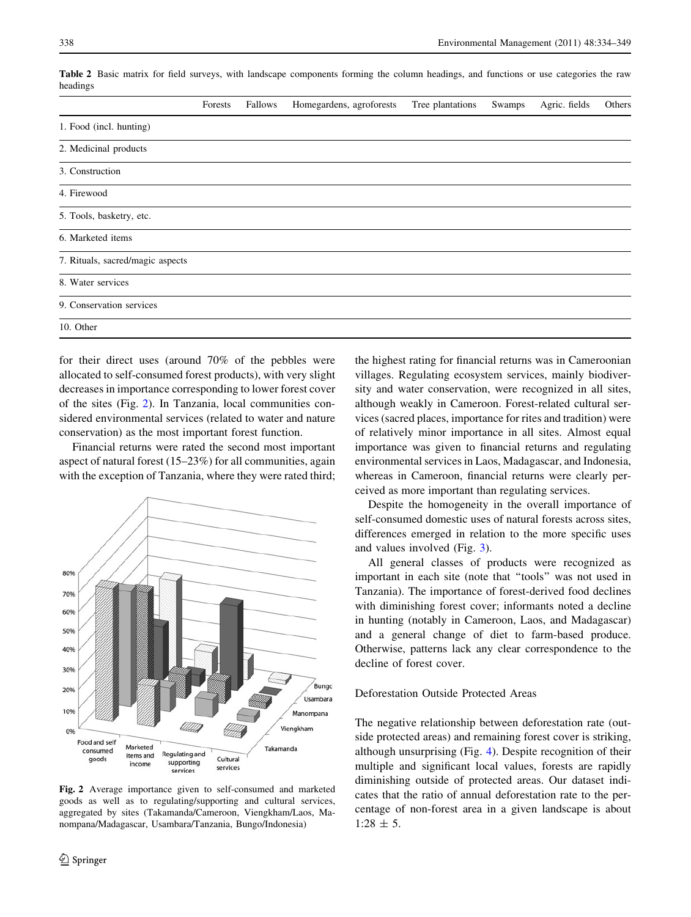|                                  | Forests | Fallows | Homegardens, agroforests | Tree plantations | Swamps | Agric. fields | Others |
|----------------------------------|---------|---------|--------------------------|------------------|--------|---------------|--------|
| 1. Food (incl. hunting)          |         |         |                          |                  |        |               |        |
| 2. Medicinal products            |         |         |                          |                  |        |               |        |
| 3. Construction                  |         |         |                          |                  |        |               |        |
| 4. Firewood                      |         |         |                          |                  |        |               |        |
| 5. Tools, basketry, etc.         |         |         |                          |                  |        |               |        |
| 6. Marketed items                |         |         |                          |                  |        |               |        |
| 7. Rituals, sacred/magic aspects |         |         |                          |                  |        |               |        |
| 8. Water services                |         |         |                          |                  |        |               |        |
| 9. Conservation services         |         |         |                          |                  |        |               |        |
| 10. Other                        |         |         |                          |                  |        |               |        |
|                                  |         |         |                          |                  |        |               |        |

<span id="page-4-0"></span>Table 2 Basic matrix for field surveys, with landscape components forming the column headings, and functions or use categories the raw headings

for their direct uses (around 70% of the pebbles were allocated to self-consumed forest products), with very slight decreases in importance corresponding to lower forest cover of the sites (Fig. 2). In Tanzania, local communities considered environmental services (related to water and nature conservation) as the most important forest function.

Financial returns were rated the second most important aspect of natural forest (15–23%) for all communities, again with the exception of Tanzania, where they were rated third;



Fig. 2 Average importance given to self-consumed and marketed goods as well as to regulating/supporting and cultural services, aggregated by sites (Takamanda/Cameroon, Viengkham/Laos, Manompana/Madagascar, Usambara/Tanzania, Bungo/Indonesia)

the highest rating for financial returns was in Cameroonian villages. Regulating ecosystem services, mainly biodiversity and water conservation, were recognized in all sites, although weakly in Cameroon. Forest-related cultural services (sacred places, importance for rites and tradition) were of relatively minor importance in all sites. Almost equal importance was given to financial returns and regulating environmental services in Laos, Madagascar, and Indonesia, whereas in Cameroon, financial returns were clearly perceived as more important than regulating services.

Despite the homogeneity in the overall importance of self-consumed domestic uses of natural forests across sites, differences emerged in relation to the more specific uses and values involved (Fig. [3\)](#page-5-0).

All general classes of products were recognized as important in each site (note that ''tools'' was not used in Tanzania). The importance of forest-derived food declines with diminishing forest cover; informants noted a decline in hunting (notably in Cameroon, Laos, and Madagascar) and a general change of diet to farm-based produce. Otherwise, patterns lack any clear correspondence to the decline of forest cover.

#### Deforestation Outside Protected Areas

The negative relationship between deforestation rate (outside protected areas) and remaining forest cover is striking, although unsurprising (Fig. [4](#page-5-0)). Despite recognition of their multiple and significant local values, forests are rapidly diminishing outside of protected areas. Our dataset indicates that the ratio of annual deforestation rate to the percentage of non-forest area in a given landscape is about  $1:28 \pm 5$ .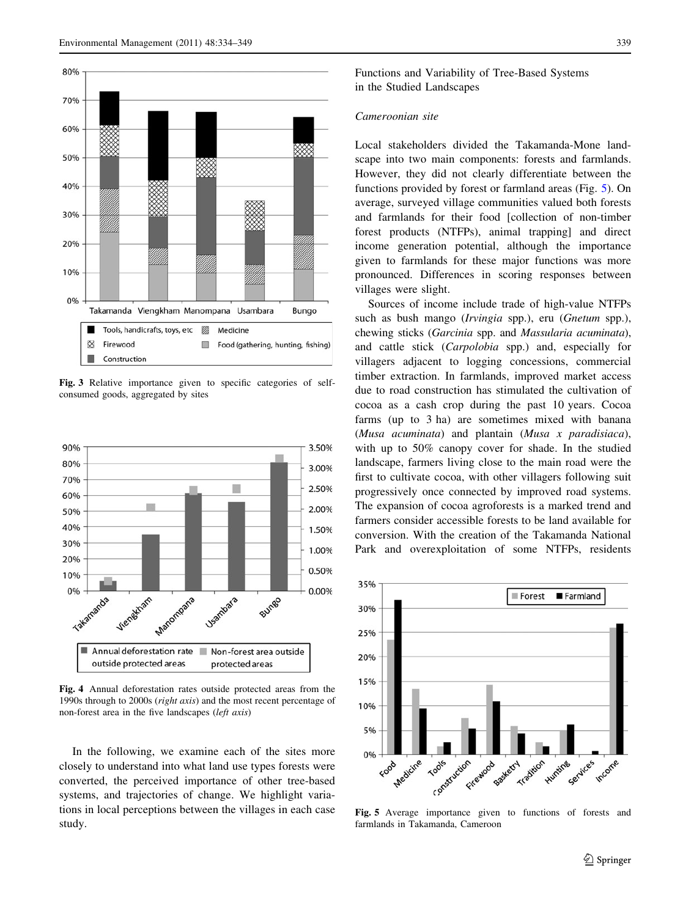<span id="page-5-0"></span>

Fig. 3 Relative importance given to specific categories of selfconsumed goods, aggregated by sites



Fig. 4 Annual deforestation rates outside protected areas from the 1990s through to 2000s (right axis) and the most recent percentage of non-forest area in the five landscapes (left axis)

In the following, we examine each of the sites more closely to understand into what land use types forests were converted, the perceived importance of other tree-based systems, and trajectories of change. We highlight variations in local perceptions between the villages in each case study.

Functions and Variability of Tree-Based Systems in the Studied Landscapes

## Cameroonian site

Local stakeholders divided the Takamanda-Mone landscape into two main components: forests and farmlands. However, they did not clearly differentiate between the functions provided by forest or farmland areas (Fig. 5). On average, surveyed village communities valued both forests and farmlands for their food [collection of non-timber forest products (NTFPs), animal trapping] and direct income generation potential, although the importance given to farmlands for these major functions was more pronounced. Differences in scoring responses between villages were slight.

Sources of income include trade of high-value NTFPs such as bush mango (Irvingia spp.), eru (Gnetum spp.), chewing sticks (Garcinia spp. and Massularia acuminata), and cattle stick (Carpolobia spp.) and, especially for villagers adjacent to logging concessions, commercial timber extraction. In farmlands, improved market access due to road construction has stimulated the cultivation of cocoa as a cash crop during the past 10 years. Cocoa farms (up to 3 ha) are sometimes mixed with banana (Musa acuminata) and plantain (Musa x paradisiaca), with up to 50% canopy cover for shade. In the studied landscape, farmers living close to the main road were the first to cultivate cocoa, with other villagers following suit progressively once connected by improved road systems. The expansion of cocoa agroforests is a marked trend and farmers consider accessible forests to be land available for conversion. With the creation of the Takamanda National Park and overexploitation of some NTFPs, residents



Fig. 5 Average importance given to functions of forests and farmlands in Takamanda, Cameroon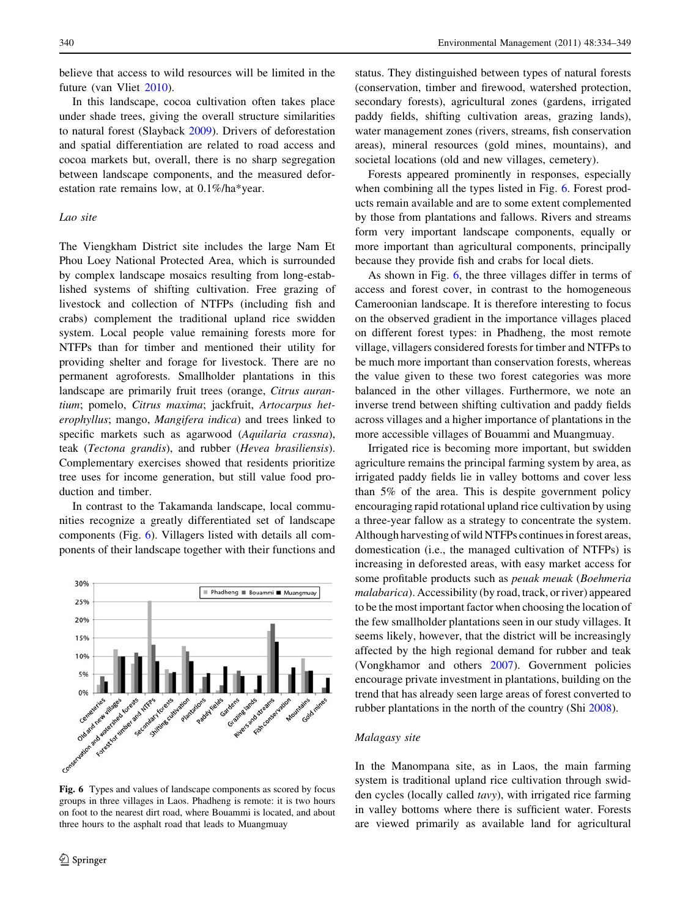believe that access to wild resources will be limited in the future (van Vliet [2010\)](#page-15-0).

In this landscape, cocoa cultivation often takes place under shade trees, giving the overall structure similarities to natural forest (Slayback [2009\)](#page-15-0). Drivers of deforestation and spatial differentiation are related to road access and cocoa markets but, overall, there is no sharp segregation between landscape components, and the measured deforestation rate remains low, at 0.1%/ha\*year.

## Lao site

The Viengkham District site includes the large Nam Et Phou Loey National Protected Area, which is surrounded by complex landscape mosaics resulting from long-established systems of shifting cultivation. Free grazing of livestock and collection of NTFPs (including fish and crabs) complement the traditional upland rice swidden system. Local people value remaining forests more for NTFPs than for timber and mentioned their utility for providing shelter and forage for livestock. There are no permanent agroforests. Smallholder plantations in this landscape are primarily fruit trees (orange, Citrus aurantium; pomelo, Citrus maxima; jackfruit, Artocarpus heterophyllus; mango, Mangifera indica) and trees linked to specific markets such as agarwood (Aquilaria crassna), teak (Tectona grandis), and rubber (Hevea brasiliensis). Complementary exercises showed that residents prioritize tree uses for income generation, but still value food production and timber.

In contrast to the Takamanda landscape, local communities recognize a greatly differentiated set of landscape components (Fig. 6). Villagers listed with details all components of their landscape together with their functions and



Fig. 6 Types and values of landscape components as scored by focus groups in three villages in Laos. Phadheng is remote: it is two hours on foot to the nearest dirt road, where Bouammi is located, and about three hours to the asphalt road that leads to Muangmuay

status. They distinguished between types of natural forests (conservation, timber and firewood, watershed protection, secondary forests), agricultural zones (gardens, irrigated paddy fields, shifting cultivation areas, grazing lands), water management zones (rivers, streams, fish conservation areas), mineral resources (gold mines, mountains), and societal locations (old and new villages, cemetery).

Forests appeared prominently in responses, especially when combining all the types listed in Fig. 6. Forest products remain available and are to some extent complemented by those from plantations and fallows. Rivers and streams form very important landscape components, equally or more important than agricultural components, principally because they provide fish and crabs for local diets.

As shown in Fig. 6, the three villages differ in terms of access and forest cover, in contrast to the homogeneous Cameroonian landscape. It is therefore interesting to focus on the observed gradient in the importance villages placed on different forest types: in Phadheng, the most remote village, villagers considered forests for timber and NTFPs to be much more important than conservation forests, whereas the value given to these two forest categories was more balanced in the other villages. Furthermore, we note an inverse trend between shifting cultivation and paddy fields across villages and a higher importance of plantations in the more accessible villages of Bouammi and Muangmuay.

Irrigated rice is becoming more important, but swidden agriculture remains the principal farming system by area, as irrigated paddy fields lie in valley bottoms and cover less than 5% of the area. This is despite government policy encouraging rapid rotational upland rice cultivation by using a three-year fallow as a strategy to concentrate the system. Although harvesting of wild NTFPs continues in forest areas, domestication (i.e., the managed cultivation of NTFPs) is increasing in deforested areas, with easy market access for some profitable products such as peuak meuak (Boehmeria malabarica). Accessibility (by road, track, or river) appeared to be the most important factor when choosing the location of the few smallholder plantations seen in our study villages. It seems likely, however, that the district will be increasingly affected by the high regional demand for rubber and teak (Vongkhamor and others [2007\)](#page-15-0). Government policies encourage private investment in plantations, building on the trend that has already seen large areas of forest converted to rubber plantations in the north of the country (Shi [2008\)](#page-14-0).

## Malagasy site

In the Manompana site, as in Laos, the main farming system is traditional upland rice cultivation through swidden cycles (locally called tavy), with irrigated rice farming in valley bottoms where there is sufficient water. Forests are viewed primarily as available land for agricultural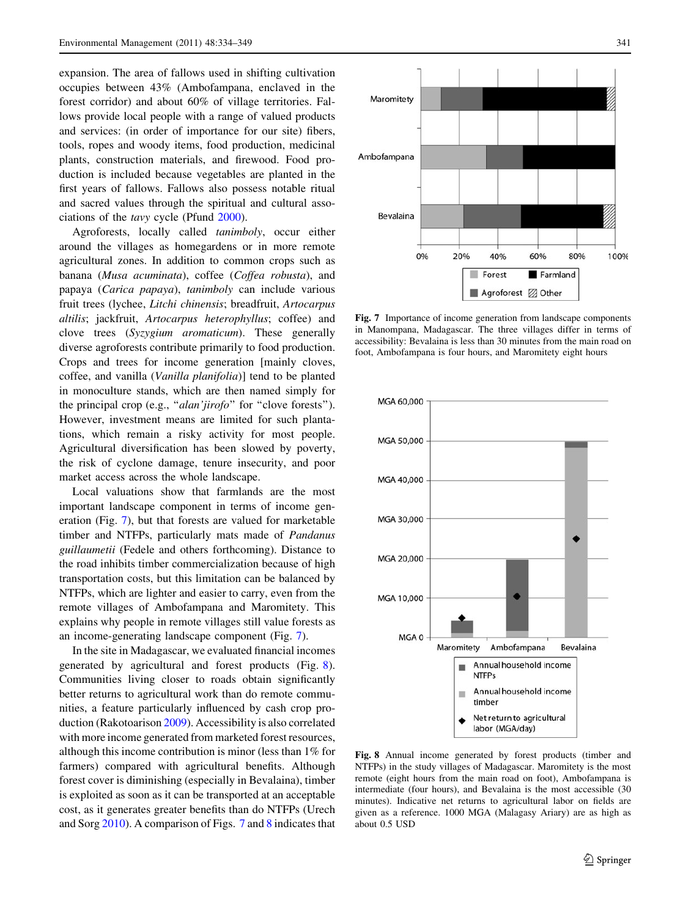expansion. The area of fallows used in shifting cultivation occupies between 43% (Ambofampana, enclaved in the forest corridor) and about 60% of village territories. Fallows provide local people with a range of valued products and services: (in order of importance for our site) fibers, tools, ropes and woody items, food production, medicinal plants, construction materials, and firewood. Food production is included because vegetables are planted in the first years of fallows. Fallows also possess notable ritual and sacred values through the spiritual and cultural associations of the tavy cycle (Pfund [2000\)](#page-14-0).

Agroforests, locally called tanimboly, occur either around the villages as homegardens or in more remote agricultural zones. In addition to common crops such as banana (Musa acuminata), coffee (Coffea robusta), and papaya (Carica papaya), tanimboly can include various fruit trees (lychee, Litchi chinensis; breadfruit, Artocarpus altilis; jackfruit, Artocarpus heterophyllus; coffee) and clove trees (Syzygium aromaticum). These generally diverse agroforests contribute primarily to food production. Crops and trees for income generation [mainly cloves, coffee, and vanilla (Vanilla planifolia)] tend to be planted in monoculture stands, which are then named simply for the principal crop (e.g., "alan'jirofo" for "clove forests"). However, investment means are limited for such plantations, which remain a risky activity for most people. Agricultural diversification has been slowed by poverty, the risk of cyclone damage, tenure insecurity, and poor market access across the whole landscape.

Local valuations show that farmlands are the most important landscape component in terms of income generation (Fig. 7), but that forests are valued for marketable timber and NTFPs, particularly mats made of Pandanus guillaumetii (Fedele and others forthcoming). Distance to the road inhibits timber commercialization because of high transportation costs, but this limitation can be balanced by NTFPs, which are lighter and easier to carry, even from the remote villages of Ambofampana and Maromitety. This explains why people in remote villages still value forests as an income-generating landscape component (Fig. 7).

In the site in Madagascar, we evaluated financial incomes generated by agricultural and forest products (Fig. 8). Communities living closer to roads obtain significantly better returns to agricultural work than do remote communities, a feature particularly influenced by cash crop production (Rakotoarison [2009](#page-14-0)). Accessibility is also correlated with more income generated from marketed forest resources, although this income contribution is minor (less than 1% for farmers) compared with agricultural benefits. Although forest cover is diminishing (especially in Bevalaina), timber is exploited as soon as it can be transported at an acceptable cost, as it generates greater benefits than do NTFPs (Urech and Sorg [2010](#page-15-0)). A comparison of Figs. 7 and 8 indicates that



Fig. 7 Importance of income generation from landscape components in Manompana, Madagascar. The three villages differ in terms of accessibility: Bevalaina is less than 30 minutes from the main road on foot, Ambofampana is four hours, and Maromitety eight hours



Fig. 8 Annual income generated by forest products (timber and NTFPs) in the study villages of Madagascar. Maromitety is the most remote (eight hours from the main road on foot), Ambofampana is intermediate (four hours), and Bevalaina is the most accessible (30 minutes). Indicative net returns to agricultural labor on fields are given as a reference. 1000 MGA (Malagasy Ariary) are as high as about 0.5 USD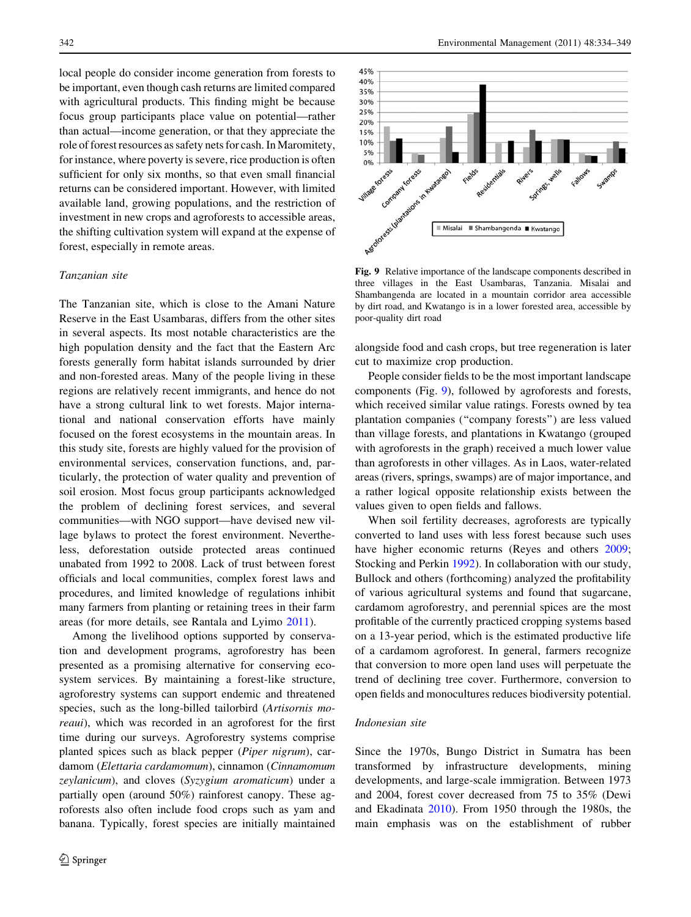local people do consider income generation from forests to be important, even though cash returns are limited compared with agricultural products. This finding might be because focus group participants place value on potential—rather than actual—income generation, or that they appreciate the role of forest resources as safety nets for cash. In Maromitety, for instance, where poverty is severe, rice production is often sufficient for only six months, so that even small financial returns can be considered important. However, with limited available land, growing populations, and the restriction of investment in new crops and agroforests to accessible areas, the shifting cultivation system will expand at the expense of forest, especially in remote areas.

## Tanzanian site

The Tanzanian site, which is close to the Amani Nature Reserve in the East Usambaras, differs from the other sites in several aspects. Its most notable characteristics are the high population density and the fact that the Eastern Arc forests generally form habitat islands surrounded by drier and non-forested areas. Many of the people living in these regions are relatively recent immigrants, and hence do not have a strong cultural link to wet forests. Major international and national conservation efforts have mainly focused on the forest ecosystems in the mountain areas. In this study site, forests are highly valued for the provision of environmental services, conservation functions, and, particularly, the protection of water quality and prevention of soil erosion. Most focus group participants acknowledged the problem of declining forest services, and several communities—with NGO support—have devised new village bylaws to protect the forest environment. Nevertheless, deforestation outside protected areas continued unabated from 1992 to 2008. Lack of trust between forest officials and local communities, complex forest laws and procedures, and limited knowledge of regulations inhibit many farmers from planting or retaining trees in their farm areas (for more details, see Rantala and Lyimo [2011](#page-14-0)).

Among the livelihood options supported by conservation and development programs, agroforestry has been presented as a promising alternative for conserving ecosystem services. By maintaining a forest-like structure, agroforestry systems can support endemic and threatened species, such as the long-billed tailorbird (Artisornis moreaui), which was recorded in an agroforest for the first time during our surveys. Agroforestry systems comprise planted spices such as black pepper (Piper nigrum), cardamom (Elettaria cardamomum), cinnamon (Cinnamomum zeylanicum), and cloves (Syzygium aromaticum) under a partially open (around 50%) rainforest canopy. These agroforests also often include food crops such as yam and banana. Typically, forest species are initially maintained



Fig. 9 Relative importance of the landscape components described in three villages in the East Usambaras, Tanzania. Misalai and Shambangenda are located in a mountain corridor area accessible by dirt road, and Kwatango is in a lower forested area, accessible by poor-quality dirt road

alongside food and cash crops, but tree regeneration is later cut to maximize crop production.

People consider fields to be the most important landscape components (Fig. 9), followed by agroforests and forests, which received similar value ratings. Forests owned by tea plantation companies (''company forests'') are less valued than village forests, and plantations in Kwatango (grouped with agroforests in the graph) received a much lower value than agroforests in other villages. As in Laos, water-related areas (rivers, springs, swamps) are of major importance, and a rather logical opposite relationship exists between the values given to open fields and fallows.

When soil fertility decreases, agroforests are typically converted to land uses with less forest because such uses have higher economic returns (Reyes and others [2009](#page-14-0); Stocking and Perkin [1992\)](#page-15-0). In collaboration with our study, Bullock and others (forthcoming) analyzed the profitability of various agricultural systems and found that sugarcane, cardamom agroforestry, and perennial spices are the most profitable of the currently practiced cropping systems based on a 13-year period, which is the estimated productive life of a cardamom agroforest. In general, farmers recognize that conversion to more open land uses will perpetuate the trend of declining tree cover. Furthermore, conversion to open fields and monocultures reduces biodiversity potential.

## Indonesian site

Since the 1970s, Bungo District in Sumatra has been transformed by infrastructure developments, mining developments, and large-scale immigration. Between 1973 and 2004, forest cover decreased from 75 to 35% (Dewi and Ekadinata [2010](#page-13-0)). From 1950 through the 1980s, the main emphasis was on the establishment of rubber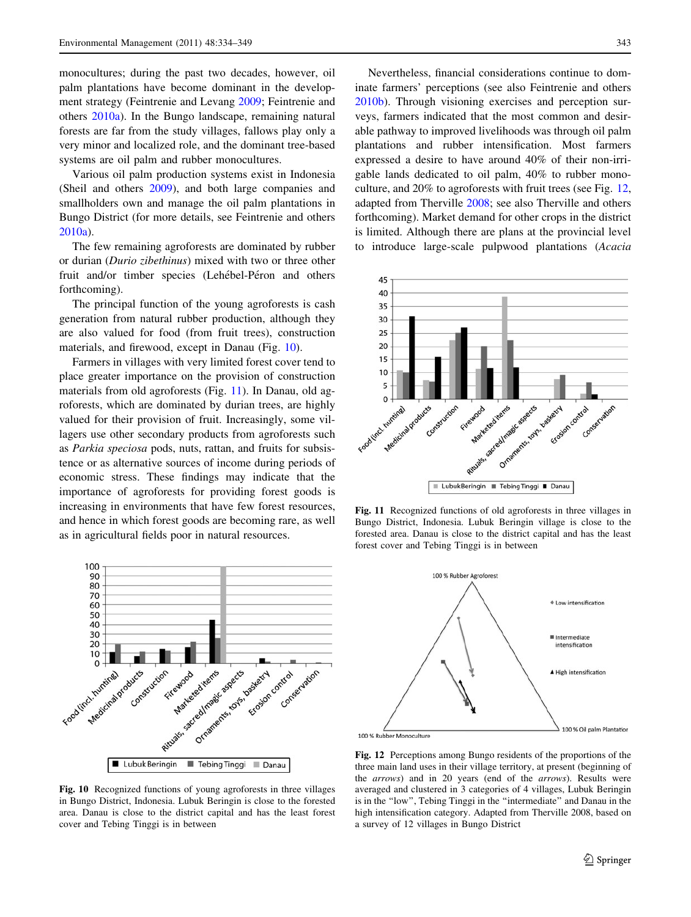monocultures; during the past two decades, however, oil palm plantations have become dominant in the development strategy (Feintrenie and Levang [2009;](#page-14-0) Feintrenie and others [2010a\)](#page-14-0). In the Bungo landscape, remaining natural forests are far from the study villages, fallows play only a very minor and localized role, and the dominant tree-based systems are oil palm and rubber monocultures.

Various oil palm production systems exist in Indonesia (Sheil and others [2009\)](#page-14-0), and both large companies and smallholders own and manage the oil palm plantations in Bungo District (for more details, see Feintrenie and others [2010a](#page-14-0)).

The few remaining agroforests are dominated by rubber or durian (Durio zibethinus) mixed with two or three other fruit and/or timber species (Lehébel-Péron and others forthcoming).

The principal function of the young agroforests is cash generation from natural rubber production, although they are also valued for food (from fruit trees), construction materials, and firewood, except in Danau (Fig. 10).

Farmers in villages with very limited forest cover tend to place greater importance on the provision of construction materials from old agroforests (Fig. 11). In Danau, old agroforests, which are dominated by durian trees, are highly valued for their provision of fruit. Increasingly, some villagers use other secondary products from agroforests such as Parkia speciosa pods, nuts, rattan, and fruits for subsistence or as alternative sources of income during periods of economic stress. These findings may indicate that the importance of agroforests for providing forest goods is increasing in environments that have few forest resources, and hence in which forest goods are becoming rare, as well as in agricultural fields poor in natural resources.



Fig. 10 Recognized functions of young agroforests in three villages in Bungo District, Indonesia. Lubuk Beringin is close to the forested area. Danau is close to the district capital and has the least forest cover and Tebing Tinggi is in between

Nevertheless, financial considerations continue to dominate farmers' perceptions (see also Feintrenie and others [2010b](#page-14-0)). Through visioning exercises and perception surveys, farmers indicated that the most common and desirable pathway to improved livelihoods was through oil palm plantations and rubber intensification. Most farmers expressed a desire to have around 40% of their non-irrigable lands dedicated to oil palm, 40% to rubber monoculture, and 20% to agroforests with fruit trees (see Fig. 12, adapted from Therville [2008](#page-15-0); see also Therville and others forthcoming). Market demand for other crops in the district is limited. Although there are plans at the provincial level to introduce large-scale pulpwood plantations (Acacia



Fig. 11 Recognized functions of old agroforests in three villages in Bungo District, Indonesia. Lubuk Beringin village is close to the forested area. Danau is close to the district capital and has the least forest cover and Tebing Tinggi is in between



Fig. 12 Perceptions among Bungo residents of the proportions of the three main land uses in their village territory, at present (beginning of the arrows) and in 20 years (end of the arrows). Results were averaged and clustered in 3 categories of 4 villages, Lubuk Beringin is in the ''low'', Tebing Tinggi in the ''intermediate'' and Danau in the high intensification category. Adapted from Therville 2008, based on a survey of 12 villages in Bungo District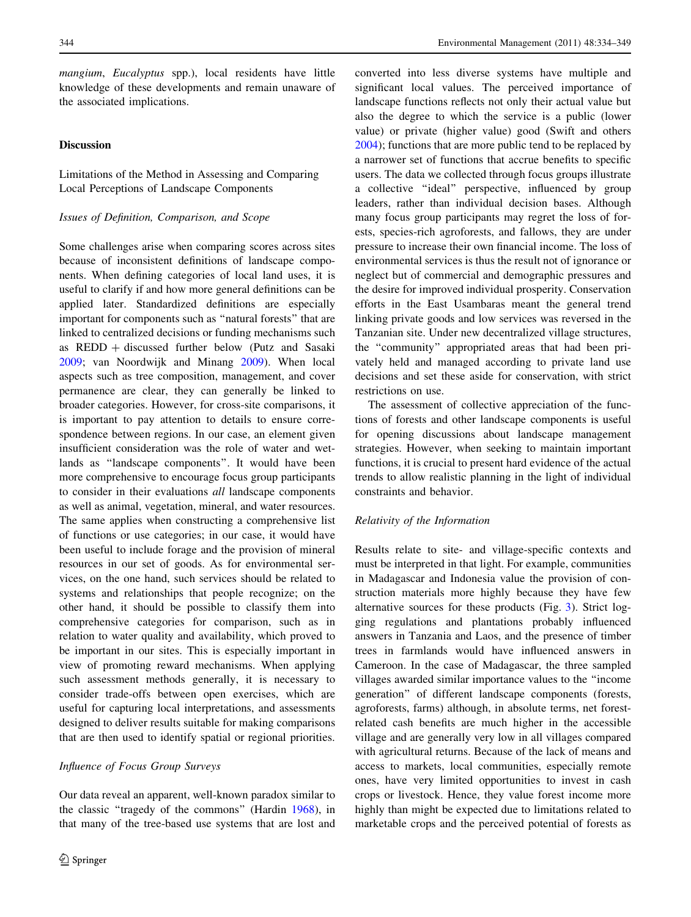mangium, Eucalyptus spp.), local residents have little knowledge of these developments and remain unaware of the associated implications.

# Discussion

Limitations of the Method in Assessing and Comparing Local Perceptions of Landscape Components

## Issues of Definition, Comparison, and Scope

Some challenges arise when comparing scores across sites because of inconsistent definitions of landscape components. When defining categories of local land uses, it is useful to clarify if and how more general definitions can be applied later. Standardized definitions are especially important for components such as ''natural forests'' that are linked to centralized decisions or funding mechanisms such as  $REDD + discussed$  further below (Putz and Sasaki [2009;](#page-14-0) van Noordwijk and Minang [2009\)](#page-15-0). When local aspects such as tree composition, management, and cover permanence are clear, they can generally be linked to broader categories. However, for cross-site comparisons, it is important to pay attention to details to ensure correspondence between regions. In our case, an element given insufficient consideration was the role of water and wetlands as ''landscape components''. It would have been more comprehensive to encourage focus group participants to consider in their evaluations all landscape components as well as animal, vegetation, mineral, and water resources. The same applies when constructing a comprehensive list of functions or use categories; in our case, it would have been useful to include forage and the provision of mineral resources in our set of goods. As for environmental services, on the one hand, such services should be related to systems and relationships that people recognize; on the other hand, it should be possible to classify them into comprehensive categories for comparison, such as in relation to water quality and availability, which proved to be important in our sites. This is especially important in view of promoting reward mechanisms. When applying such assessment methods generally, it is necessary to consider trade-offs between open exercises, which are useful for capturing local interpretations, and assessments designed to deliver results suitable for making comparisons that are then used to identify spatial or regional priorities.

#### Influence of Focus Group Surveys

Our data reveal an apparent, well-known paradox similar to the classic ''tragedy of the commons'' (Hardin [1968](#page-14-0)), in that many of the tree-based use systems that are lost and converted into less diverse systems have multiple and significant local values. The perceived importance of landscape functions reflects not only their actual value but also the degree to which the service is a public (lower value) or private (higher value) good (Swift and others [2004](#page-15-0)); functions that are more public tend to be replaced by a narrower set of functions that accrue benefits to specific users. The data we collected through focus groups illustrate a collective ''ideal'' perspective, influenced by group leaders, rather than individual decision bases. Although many focus group participants may regret the loss of forests, species-rich agroforests, and fallows, they are under pressure to increase their own financial income. The loss of environmental services is thus the result not of ignorance or neglect but of commercial and demographic pressures and the desire for improved individual prosperity. Conservation efforts in the East Usambaras meant the general trend linking private goods and low services was reversed in the Tanzanian site. Under new decentralized village structures, the ''community'' appropriated areas that had been privately held and managed according to private land use decisions and set these aside for conservation, with strict restrictions on use.

The assessment of collective appreciation of the functions of forests and other landscape components is useful for opening discussions about landscape management strategies. However, when seeking to maintain important functions, it is crucial to present hard evidence of the actual trends to allow realistic planning in the light of individual constraints and behavior.

# Relativity of the Information

Results relate to site- and village-specific contexts and must be interpreted in that light. For example, communities in Madagascar and Indonesia value the provision of construction materials more highly because they have few alternative sources for these products (Fig. [3\)](#page-5-0). Strict logging regulations and plantations probably influenced answers in Tanzania and Laos, and the presence of timber trees in farmlands would have influenced answers in Cameroon. In the case of Madagascar, the three sampled villages awarded similar importance values to the ''income generation'' of different landscape components (forests, agroforests, farms) although, in absolute terms, net forestrelated cash benefits are much higher in the accessible village and are generally very low in all villages compared with agricultural returns. Because of the lack of means and access to markets, local communities, especially remote ones, have very limited opportunities to invest in cash crops or livestock. Hence, they value forest income more highly than might be expected due to limitations related to marketable crops and the perceived potential of forests as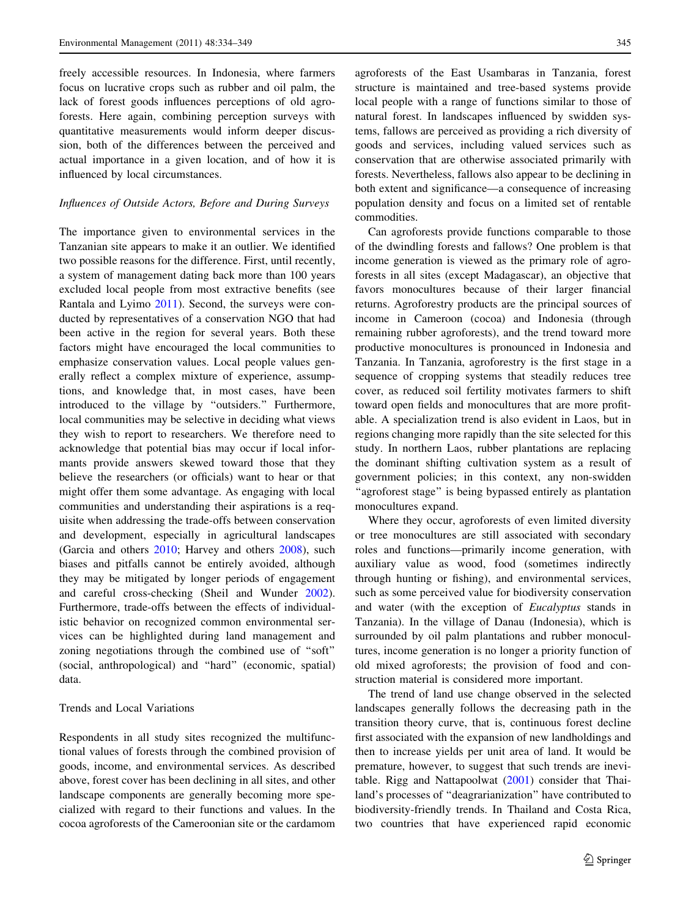freely accessible resources. In Indonesia, where farmers focus on lucrative crops such as rubber and oil palm, the lack of forest goods influences perceptions of old agroforests. Here again, combining perception surveys with quantitative measurements would inform deeper discussion, both of the differences between the perceived and actual importance in a given location, and of how it is influenced by local circumstances.

#### Influences of Outside Actors, Before and During Surveys

The importance given to environmental services in the Tanzanian site appears to make it an outlier. We identified two possible reasons for the difference. First, until recently, a system of management dating back more than 100 years excluded local people from most extractive benefits (see Rantala and Lyimo [2011\)](#page-14-0). Second, the surveys were conducted by representatives of a conservation NGO that had been active in the region for several years. Both these factors might have encouraged the local communities to emphasize conservation values. Local people values generally reflect a complex mixture of experience, assumptions, and knowledge that, in most cases, have been introduced to the village by ''outsiders.'' Furthermore, local communities may be selective in deciding what views they wish to report to researchers. We therefore need to acknowledge that potential bias may occur if local informants provide answers skewed toward those that they believe the researchers (or officials) want to hear or that might offer them some advantage. As engaging with local communities and understanding their aspirations is a requisite when addressing the trade-offs between conservation and development, especially in agricultural landscapes (Garcia and others [2010;](#page-14-0) Harvey and others [2008\)](#page-14-0), such biases and pitfalls cannot be entirely avoided, although they may be mitigated by longer periods of engagement and careful cross-checking (Sheil and Wunder [2002](#page-14-0)). Furthermore, trade-offs between the effects of individualistic behavior on recognized common environmental services can be highlighted during land management and zoning negotiations through the combined use of ''soft'' (social, anthropological) and ''hard'' (economic, spatial) data.

## Trends and Local Variations

Respondents in all study sites recognized the multifunctional values of forests through the combined provision of goods, income, and environmental services. As described above, forest cover has been declining in all sites, and other landscape components are generally becoming more specialized with regard to their functions and values. In the cocoa agroforests of the Cameroonian site or the cardamom

agroforests of the East Usambaras in Tanzania, forest structure is maintained and tree-based systems provide local people with a range of functions similar to those of natural forest. In landscapes influenced by swidden systems, fallows are perceived as providing a rich diversity of goods and services, including valued services such as conservation that are otherwise associated primarily with forests. Nevertheless, fallows also appear to be declining in both extent and significance—a consequence of increasing population density and focus on a limited set of rentable commodities.

Can agroforests provide functions comparable to those of the dwindling forests and fallows? One problem is that income generation is viewed as the primary role of agroforests in all sites (except Madagascar), an objective that favors monocultures because of their larger financial returns. Agroforestry products are the principal sources of income in Cameroon (cocoa) and Indonesia (through remaining rubber agroforests), and the trend toward more productive monocultures is pronounced in Indonesia and Tanzania. In Tanzania, agroforestry is the first stage in a sequence of cropping systems that steadily reduces tree cover, as reduced soil fertility motivates farmers to shift toward open fields and monocultures that are more profitable. A specialization trend is also evident in Laos, but in regions changing more rapidly than the site selected for this study. In northern Laos, rubber plantations are replacing the dominant shifting cultivation system as a result of government policies; in this context, any non-swidden "agroforest stage" is being bypassed entirely as plantation monocultures expand.

Where they occur, agroforests of even limited diversity or tree monocultures are still associated with secondary roles and functions—primarily income generation, with auxiliary value as wood, food (sometimes indirectly through hunting or fishing), and environmental services, such as some perceived value for biodiversity conservation and water (with the exception of Eucalyptus stands in Tanzania). In the village of Danau (Indonesia), which is surrounded by oil palm plantations and rubber monocultures, income generation is no longer a priority function of old mixed agroforests; the provision of food and construction material is considered more important.

The trend of land use change observed in the selected landscapes generally follows the decreasing path in the transition theory curve, that is, continuous forest decline first associated with the expansion of new landholdings and then to increase yields per unit area of land. It would be premature, however, to suggest that such trends are inevitable. Rigg and Nattapoolwat [\(2001](#page-14-0)) consider that Thailand's processes of ''deagrarianization'' have contributed to biodiversity-friendly trends. In Thailand and Costa Rica, two countries that have experienced rapid economic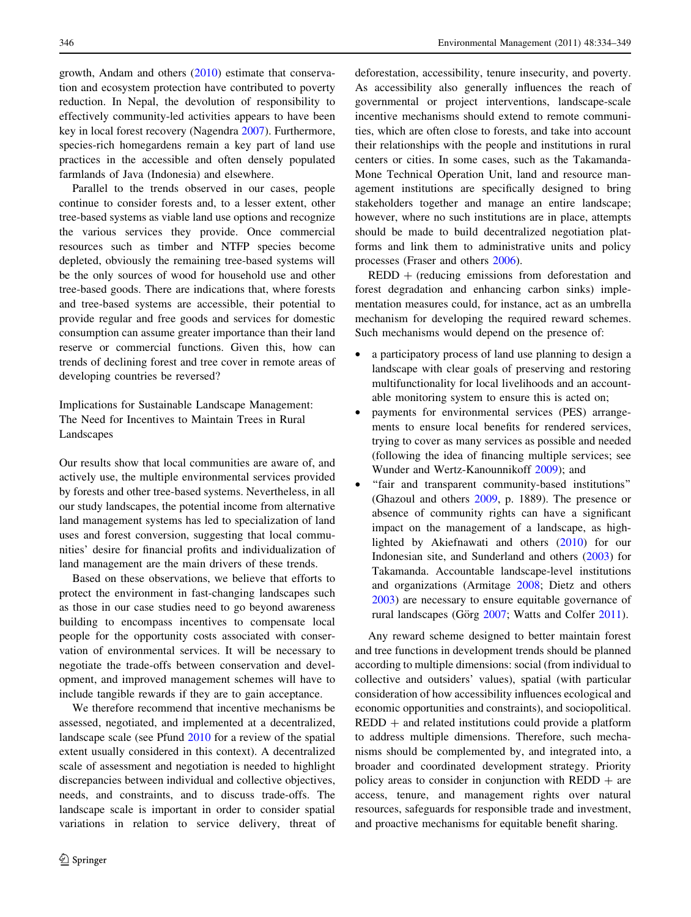growth, Andam and others ([2010\)](#page-13-0) estimate that conservation and ecosystem protection have contributed to poverty reduction. In Nepal, the devolution of responsibility to effectively community-led activities appears to have been key in local forest recovery (Nagendra [2007](#page-14-0)). Furthermore, species-rich homegardens remain a key part of land use practices in the accessible and often densely populated farmlands of Java (Indonesia) and elsewhere.

Parallel to the trends observed in our cases, people continue to consider forests and, to a lesser extent, other tree-based systems as viable land use options and recognize the various services they provide. Once commercial resources such as timber and NTFP species become depleted, obviously the remaining tree-based systems will be the only sources of wood for household use and other tree-based goods. There are indications that, where forests and tree-based systems are accessible, their potential to provide regular and free goods and services for domestic consumption can assume greater importance than their land reserve or commercial functions. Given this, how can trends of declining forest and tree cover in remote areas of developing countries be reversed?

Implications for Sustainable Landscape Management: The Need for Incentives to Maintain Trees in Rural Landscapes

Our results show that local communities are aware of, and actively use, the multiple environmental services provided by forests and other tree-based systems. Nevertheless, in all our study landscapes, the potential income from alternative land management systems has led to specialization of land uses and forest conversion, suggesting that local communities' desire for financial profits and individualization of land management are the main drivers of these trends.

Based on these observations, we believe that efforts to protect the environment in fast-changing landscapes such as those in our case studies need to go beyond awareness building to encompass incentives to compensate local people for the opportunity costs associated with conservation of environmental services. It will be necessary to negotiate the trade-offs between conservation and development, and improved management schemes will have to include tangible rewards if they are to gain acceptance.

We therefore recommend that incentive mechanisms be assessed, negotiated, and implemented at a decentralized, landscape scale (see Pfund [2010](#page-14-0) for a review of the spatial extent usually considered in this context). A decentralized scale of assessment and negotiation is needed to highlight discrepancies between individual and collective objectives, needs, and constraints, and to discuss trade-offs. The landscape scale is important in order to consider spatial variations in relation to service delivery, threat of deforestation, accessibility, tenure insecurity, and poverty. As accessibility also generally influences the reach of governmental or project interventions, landscape-scale incentive mechanisms should extend to remote communities, which are often close to forests, and take into account their relationships with the people and institutions in rural centers or cities. In some cases, such as the Takamanda-Mone Technical Operation Unit, land and resource management institutions are specifically designed to bring stakeholders together and manage an entire landscape; however, where no such institutions are in place, attempts should be made to build decentralized negotiation platforms and link them to administrative units and policy processes (Fraser and others [2006\)](#page-14-0).

 $REDD + (reducing$  emissions from deforestation and forest degradation and enhancing carbon sinks) implementation measures could, for instance, act as an umbrella mechanism for developing the required reward schemes. Such mechanisms would depend on the presence of:

- a participatory process of land use planning to design a landscape with clear goals of preserving and restoring multifunctionality for local livelihoods and an accountable monitoring system to ensure this is acted on;
- payments for environmental services (PES) arrangements to ensure local benefits for rendered services, trying to cover as many services as possible and needed (following the idea of financing multiple services; see Wunder and Wertz-Kanounnikoff [2009](#page-15-0)); and
- ''fair and transparent community-based institutions'' (Ghazoul and others [2009](#page-14-0), p. 1889). The presence or absence of community rights can have a significant impact on the management of a landscape, as highlighted by Akiefnawati and others ([2010\)](#page-13-0) for our Indonesian site, and Sunderland and others ([2003\)](#page-15-0) for Takamanda. Accountable landscape-level institutions and organizations (Armitage [2008;](#page-13-0) Dietz and others [2003\)](#page-13-0) are necessary to ensure equitable governance of rural landscapes (Görg [2007;](#page-14-0) Watts and Colfer [2011](#page-15-0)).

Any reward scheme designed to better maintain forest and tree functions in development trends should be planned according to multiple dimensions: social (from individual to collective and outsiders' values), spatial (with particular consideration of how accessibility influences ecological and economic opportunities and constraints), and sociopolitical.  $REDD +$  and related institutions could provide a platform to address multiple dimensions. Therefore, such mechanisms should be complemented by, and integrated into, a broader and coordinated development strategy. Priority policy areas to consider in conjunction with  $REDD + are$ access, tenure, and management rights over natural resources, safeguards for responsible trade and investment, and proactive mechanisms for equitable benefit sharing.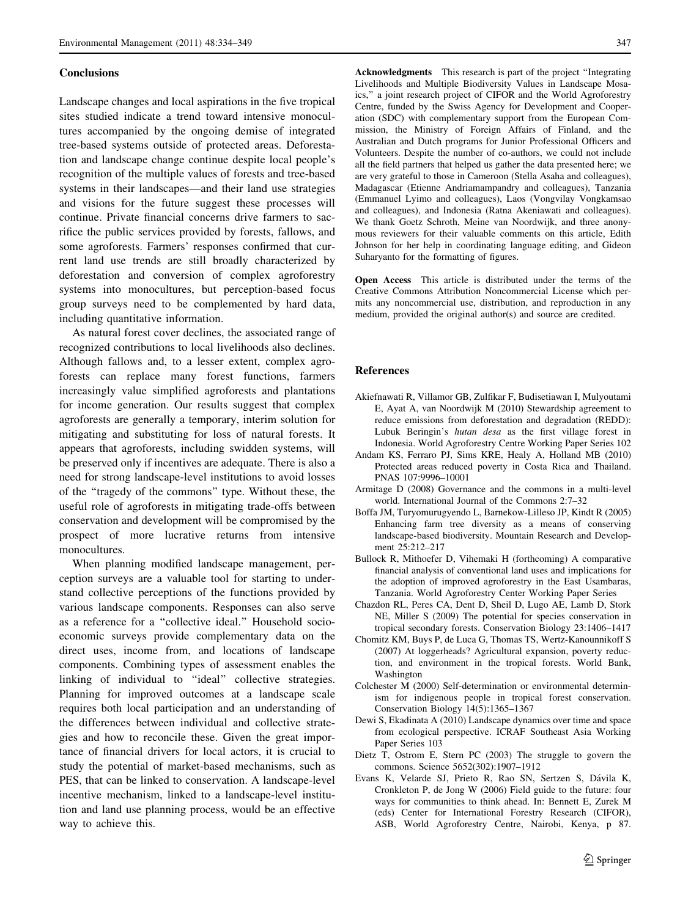#### <span id="page-13-0"></span>**Conclusions**

Landscape changes and local aspirations in the five tropical sites studied indicate a trend toward intensive monocultures accompanied by the ongoing demise of integrated tree-based systems outside of protected areas. Deforestation and landscape change continue despite local people's recognition of the multiple values of forests and tree-based systems in their landscapes—and their land use strategies and visions for the future suggest these processes will continue. Private financial concerns drive farmers to sacrifice the public services provided by forests, fallows, and some agroforests. Farmers' responses confirmed that current land use trends are still broadly characterized by deforestation and conversion of complex agroforestry systems into monocultures, but perception-based focus group surveys need to be complemented by hard data, including quantitative information.

As natural forest cover declines, the associated range of recognized contributions to local livelihoods also declines. Although fallows and, to a lesser extent, complex agroforests can replace many forest functions, farmers increasingly value simplified agroforests and plantations for income generation. Our results suggest that complex agroforests are generally a temporary, interim solution for mitigating and substituting for loss of natural forests. It appears that agroforests, including swidden systems, will be preserved only if incentives are adequate. There is also a need for strong landscape-level institutions to avoid losses of the ''tragedy of the commons'' type. Without these, the useful role of agroforests in mitigating trade-offs between conservation and development will be compromised by the prospect of more lucrative returns from intensive monocultures.

When planning modified landscape management, perception surveys are a valuable tool for starting to understand collective perceptions of the functions provided by various landscape components. Responses can also serve as a reference for a ''collective ideal.'' Household socioeconomic surveys provide complementary data on the direct uses, income from, and locations of landscape components. Combining types of assessment enables the linking of individual to ''ideal'' collective strategies. Planning for improved outcomes at a landscape scale requires both local participation and an understanding of the differences between individual and collective strategies and how to reconcile these. Given the great importance of financial drivers for local actors, it is crucial to study the potential of market-based mechanisms, such as PES, that can be linked to conservation. A landscape-level incentive mechanism, linked to a landscape-level institution and land use planning process, would be an effective way to achieve this.

Acknowledgments This research is part of the project ''Integrating Livelihoods and Multiple Biodiversity Values in Landscape Mosaics,'' a joint research project of CIFOR and the World Agroforestry Centre, funded by the Swiss Agency for Development and Cooperation (SDC) with complementary support from the European Commission, the Ministry of Foreign Affairs of Finland, and the Australian and Dutch programs for Junior Professional Officers and Volunteers. Despite the number of co-authors, we could not include all the field partners that helped us gather the data presented here; we are very grateful to those in Cameroon (Stella Asaha and colleagues), Madagascar (Etienne Andriamampandry and colleagues), Tanzania (Emmanuel Lyimo and colleagues), Laos (Vongvilay Vongkamsao and colleagues), and Indonesia (Ratna Akeniawati and colleagues). We thank Goetz Schroth, Meine van Noordwijk, and three anonymous reviewers for their valuable comments on this article, Edith Johnson for her help in coordinating language editing, and Gideon Suharyanto for the formatting of figures.

Open Access This article is distributed under the terms of the Creative Commons Attribution Noncommercial License which permits any noncommercial use, distribution, and reproduction in any medium, provided the original author(s) and source are credited.

#### References

- Akiefnawati R, Villamor GB, Zulfikar F, Budisetiawan I, Mulyoutami E, Ayat A, van Noordwijk M (2010) Stewardship agreement to reduce emissions from deforestation and degradation (REDD): Lubuk Beringin's hutan desa as the first village forest in Indonesia. World Agroforestry Centre Working Paper Series 102
- Andam KS, Ferraro PJ, Sims KRE, Healy A, Holland MB (2010) Protected areas reduced poverty in Costa Rica and Thailand. PNAS 107:9996–10001
- Armitage D (2008) Governance and the commons in a multi-level world. International Journal of the Commons 2:7–32
- Boffa JM, Turyomurugyendo L, Barnekow-Lilleso JP, Kindt R (2005) Enhancing farm tree diversity as a means of conserving landscape-based biodiversity. Mountain Research and Development 25:212–217
- Bullock R, Mithoefer D, Vihemaki H (forthcoming) A comparative financial analysis of conventional land uses and implications for the adoption of improved agroforestry in the East Usambaras, Tanzania. World Agroforestry Center Working Paper Series
- Chazdon RL, Peres CA, Dent D, Sheil D, Lugo AE, Lamb D, Stork NE, Miller S (2009) The potential for species conservation in tropical secondary forests. Conservation Biology 23:1406–1417
- Chomitz KM, Buys P, de Luca G, Thomas TS, Wertz-Kanounnikoff S (2007) At loggerheads? Agricultural expansion, poverty reduction, and environment in the tropical forests. World Bank, Washington
- Colchester M (2000) Self-determination or environmental determinism for indigenous people in tropical forest conservation. Conservation Biology 14(5):1365–1367
- Dewi S, Ekadinata A (2010) Landscape dynamics over time and space from ecological perspective. ICRAF Southeast Asia Working Paper Series 103
- Dietz T, Ostrom E, Stern PC (2003) The struggle to govern the commons. Science 5652(302):1907–1912
- Evans K, Velarde SJ, Prieto R, Rao SN, Sertzen S, Dávila K, Cronkleton P, de Jong W (2006) Field guide to the future: four ways for communities to think ahead. In: Bennett E, Zurek M (eds) Center for International Forestry Research (CIFOR), ASB, World Agroforestry Centre, Nairobi, Kenya, p 87.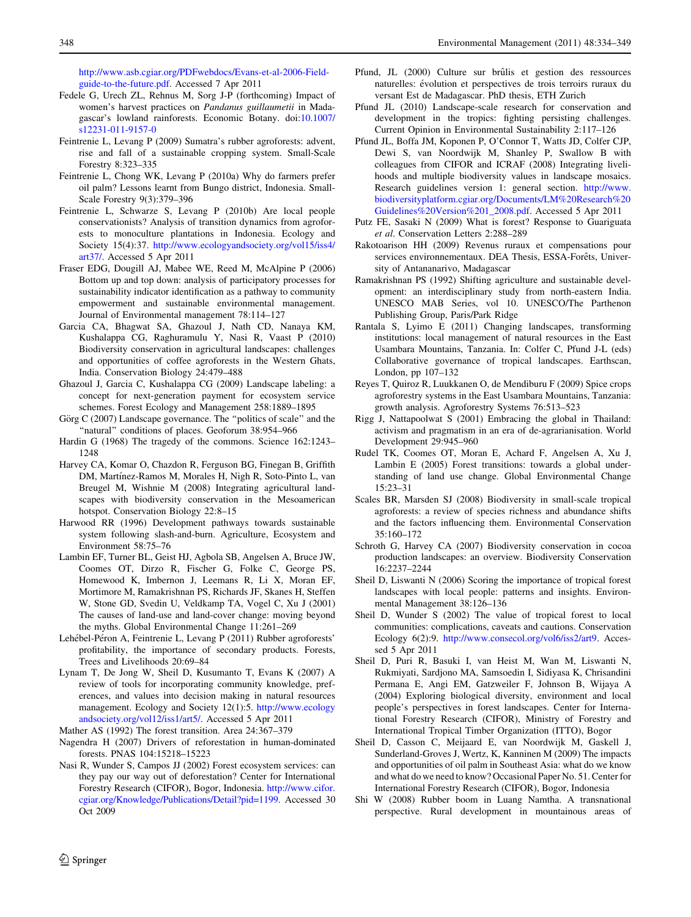<span id="page-14-0"></span>[http://www.asb.cgiar.org/PDFwebdocs/Evans-et-al-2006-Field](http://www.asb.cgiar.org/PDFwebdocs/Evans-et-al-2006-Field-guide-to-the-future.pdf)[guide-to-the-future.pdf](http://www.asb.cgiar.org/PDFwebdocs/Evans-et-al-2006-Field-guide-to-the-future.pdf). Accessed 7 Apr 2011

- Fedele G, Urech ZL, Rehnus M, Sorg J-P (forthcoming) Impact of women's harvest practices on Pandanus guillaumetii in Madagascar's lowland rainforests. Economic Botany. doi[:10.1007/](http://dx.doi.org/10.1007/s12231-011-9157-0) [s12231-011-9157-0](http://dx.doi.org/10.1007/s12231-011-9157-0)
- Feintrenie L, Levang P (2009) Sumatra's rubber agroforests: advent, rise and fall of a sustainable cropping system. Small-Scale Forestry 8:323–335
- Feintrenie L, Chong WK, Levang P (2010a) Why do farmers prefer oil palm? Lessons learnt from Bungo district, Indonesia. Small-Scale Forestry 9(3):379–396
- Feintrenie L, Schwarze S, Levang P (2010b) Are local people conservationists? Analysis of transition dynamics from agroforests to monoculture plantations in Indonesia. Ecology and Society 15(4):37. [http://www.ecologyandsociety.org/vol15/iss4/](http://www.ecologyandsociety.org/vol15/iss4/art37/) [art37/.](http://www.ecologyandsociety.org/vol15/iss4/art37/) Accessed 5 Apr 2011
- Fraser EDG, Dougill AJ, Mabee WE, Reed M, McAlpine P (2006) Bottom up and top down: analysis of participatory processes for sustainability indicator identification as a pathway to community empowerment and sustainable environmental management. Journal of Environmental management 78:114–127
- Garcia CA, Bhagwat SA, Ghazoul J, Nath CD, Nanaya KM, Kushalappa CG, Raghuramulu Y, Nasi R, Vaast P (2010) Biodiversity conservation in agricultural landscapes: challenges and opportunities of coffee agroforests in the Western Ghats, India. Conservation Biology 24:479–488
- Ghazoul J, Garcia C, Kushalappa CG (2009) Landscape labeling: a concept for next-generation payment for ecosystem service schemes. Forest Ecology and Management 258:1889–1895
- Görg C (2007) Landscape governance. The "politics of scale" and the "natural" conditions of places. Geoforum 38:954-966
- Hardin G (1968) The tragedy of the commons. Science 162:1243– 1248
- Harvey CA, Komar O, Chazdon R, Ferguson BG, Finegan B, Griffith DM, Martínez-Ramos M, Morales H, Nigh R, Soto-Pinto L, van Breugel M, Wishnie M (2008) Integrating agricultural landscapes with biodiversity conservation in the Mesoamerican hotspot. Conservation Biology 22:8–15
- Harwood RR (1996) Development pathways towards sustainable system following slash-and-burn. Agriculture, Ecosystem and Environment 58:75–76
- Lambin EF, Turner BL, Geist HJ, Agbola SB, Angelsen A, Bruce JW, Coomes OT, Dirzo R, Fischer G, Folke C, George PS, Homewood K, Imbernon J, Leemans R, Li X, Moran EF, Mortimore M, Ramakrishnan PS, Richards JF, Skanes H, Steffen W, Stone GD, Svedin U, Veldkamp TA, Vogel C, Xu J (2001) The causes of land-use and land-cover change: moving beyond the myths. Global Environmental Change 11:261–269
- Lehébel-Péron A, Feintrenie L, Levang P (2011) Rubber agroforests' profitability, the importance of secondary products. Forests, Trees and Livelihoods 20:69–84
- Lynam T, De Jong W, Sheil D, Kusumanto T, Evans K (2007) A review of tools for incorporating community knowledge, preferences, and values into decision making in natural resources management. Ecology and Society 12(1):5. [http://www.ecology](http://www.ecologyandsociety.org/vol12/iss1/art5/) [andsociety.org/vol12/iss1/art5/](http://www.ecologyandsociety.org/vol12/iss1/art5/). Accessed 5 Apr 2011
- Mather AS (1992) The forest transition. Area 24:367–379
- Nagendra H (2007) Drivers of reforestation in human-dominated forests. PNAS 104:15218–15223
- Nasi R, Wunder S, Campos JJ (2002) Forest ecosystem services: can they pay our way out of deforestation? Center for International Forestry Research (CIFOR), Bogor, Indonesia. [http://www.cifor.](http://www.cifor.cgiar.org/Knowledge/Publications/Detail?pid=1199) [cgiar.org/Knowledge/Publications/Detail?pid=1199.](http://www.cifor.cgiar.org/Knowledge/Publications/Detail?pid=1199) Accessed 30 Oct 2009
- Pfund, JL (2000) Culture sur brûlis et gestion des ressources naturelles: évolution et perspectives de trois terroirs ruraux du versant Est de Madagascar. PhD thesis, ETH Zurich
- Pfund JL (2010) Landscape-scale research for conservation and development in the tropics: fighting persisting challenges. Current Opinion in Environmental Sustainability 2:117–126
- Pfund JL, Boffa JM, Koponen P, O'Connor T, Watts JD, Colfer CJP, Dewi S, van Noordwijk M, Shanley P, Swallow B with colleagues from CIFOR and ICRAF (2008) Integrating livelihoods and multiple biodiversity values in landscape mosaics. Research guidelines version 1: general section. [http://www.](http://www.biodiversityplatform.cgiar.org/Documents/LM%20Research%20Guidelines%20Version%201_2008.pdf) [biodiversityplatform.cgiar.org/Documents/LM%20Research%20](http://www.biodiversityplatform.cgiar.org/Documents/LM%20Research%20Guidelines%20Version%201_2008.pdf) [Guidelines%20Version%201\\_2008.pdf.](http://www.biodiversityplatform.cgiar.org/Documents/LM%20Research%20Guidelines%20Version%201_2008.pdf) Accessed 5 Apr 2011
- Putz FE, Sasaki N (2009) What is forest? Response to Guariguata et al. Conservation Letters 2:288–289
- Rakotoarison HH (2009) Revenus ruraux et compensations pour services environnementaux. DEA Thesis, ESSA-Forêts, University of Antananarivo, Madagascar
- Ramakrishnan PS (1992) Shifting agriculture and sustainable development: an interdisciplinary study from north-eastern India. UNESCO MAB Series, vol 10. UNESCO/The Parthenon Publishing Group, Paris/Park Ridge
- Rantala S, Lyimo E (2011) Changing landscapes, transforming institutions: local management of natural resources in the East Usambara Mountains, Tanzania. In: Colfer C, Pfund J-L (eds) Collaborative governance of tropical landscapes. Earthscan, London, pp 107–132
- Reyes T, Quiroz R, Luukkanen O, de Mendiburu F (2009) Spice crops agroforestry systems in the East Usambara Mountains, Tanzania: growth analysis. Agroforestry Systems 76:513–523
- Rigg J, Nattapoolwat S (2001) Embracing the global in Thailand: activism and pragmatism in an era of de-agrarianisation. World Development 29:945–960
- Rudel TK, Coomes OT, Moran E, Achard F, Angelsen A, Xu J, Lambin E (2005) Forest transitions: towards a global understanding of land use change. Global Environmental Change 15:23–31
- Scales BR, Marsden SJ (2008) Biodiversity in small-scale tropical agroforests: a review of species richness and abundance shifts and the factors influencing them. Environmental Conservation 35:160–172
- Schroth G, Harvey CA (2007) Biodiversity conservation in cocoa production landscapes: an overview. Biodiversity Conservation 16:2237–2244
- Sheil D, Liswanti N (2006) Scoring the importance of tropical forest landscapes with local people: patterns and insights. Environmental Management 38:126–136
- Sheil D, Wunder S (2002) The value of tropical forest to local communities: complications, caveats and cautions. Conservation Ecology 6(2):9. [http://www.consecol.org/vol6/iss2/art9.](http://www.consecol.org/vol6/iss2/art9) Accessed 5 Apr 2011
- Sheil D, Puri R, Basuki I, van Heist M, Wan M, Liswanti N, Rukmiyati, Sardjono MA, Samsoedin I, Sidiyasa K, Chrisandini Permana E, Angi EM, Gatzweiler F, Johnson B, Wijaya A (2004) Exploring biological diversity, environment and local people's perspectives in forest landscapes. Center for International Forestry Research (CIFOR), Ministry of Forestry and International Tropical Timber Organization (ITTO), Bogor
- Sheil D, Casson C, Meijaard E, van Noordwijk M, Gaskell J, Sunderland-Groves J, Wertz, K, Kanninen M (2009) The impacts and opportunities of oil palm in Southeast Asia: what do we know and what do we need to know? Occasional Paper No. 51. Center for International Forestry Research (CIFOR), Bogor, Indonesia
- Shi W (2008) Rubber boom in Luang Namtha. A transnational perspective. Rural development in mountainous areas of